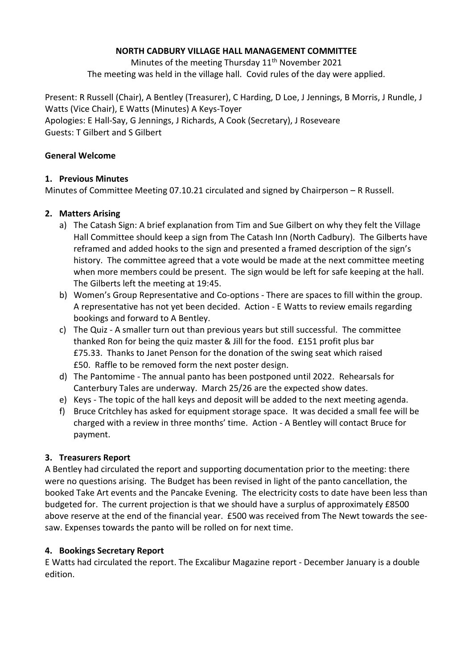#### **NORTH CADBURY VILLAGE HALL MANAGEMENT COMMITTEE**

Minutes of the meeting Thursday 11<sup>th</sup> November 2021 The meeting was held in the village hall. Covid rules of the day were applied.

Present: R Russell (Chair), A Bentley (Treasurer), C Harding, D Loe, J Jennings, B Morris, J Rundle, J Watts (Vice Chair), E Watts (Minutes) A Keys-Toyer Apologies: E Hall-Say, G Jennings, J Richards, A Cook (Secretary), J Roseveare Guests: T Gilbert and S Gilbert

#### **General Welcome**

# **1. Previous Minutes**

Minutes of Committee Meeting 07.10.21 circulated and signed by Chairperson – R Russell.

# **2. Matters Arising**

- a) The Catash Sign: A brief explanation from Tim and Sue Gilbert on why they felt the Village Hall Committee should keep a sign from The Catash Inn (North Cadbury). The Gilberts have reframed and added hooks to the sign and presented a framed description of the sign's history. The committee agreed that a vote would be made at the next committee meeting when more members could be present. The sign would be left for safe keeping at the hall. The Gilberts left the meeting at 19:45.
- b) Women's Group Representative and Co-options There are spaces to fill within the group. A representative has not yet been decided. Action - E Watts to review emails regarding bookings and forward to A Bentley.
- c) The Quiz A smaller turn out than previous years but still successful. The committee thanked Ron for being the quiz master & Jill for the food. £151 profit plus bar £75.33. Thanks to Janet Penson for the donation of the swing seat which raised £50. Raffle to be removed form the next poster design.
- d) The Pantomime The annual panto has been postponed until 2022. Rehearsals for Canterbury Tales are underway. March 25/26 are the expected show dates.
- e) Keys The topic of the hall keys and deposit will be added to the next meeting agenda.
- f) Bruce Critchley has asked for equipment storage space. It was decided a small fee will be charged with a review in three months' time. Action - A Bentley will contact Bruce for payment.

# **3. Treasurers Report**

A Bentley had circulated the report and supporting documentation prior to the meeting: there were no questions arising. The Budget has been revised in light of the panto cancellation, the booked Take Art events and the Pancake Evening. The electricity costs to date have been less than budgeted for. The current projection is that we should have a surplus of approximately £8500 above reserve at the end of the financial year. £500 was received from The Newt towards the seesaw. Expenses towards the panto will be rolled on for next time.

# **4. Bookings Secretary Report**

E Watts had circulated the report. The Excalibur Magazine report - December January is a double edition.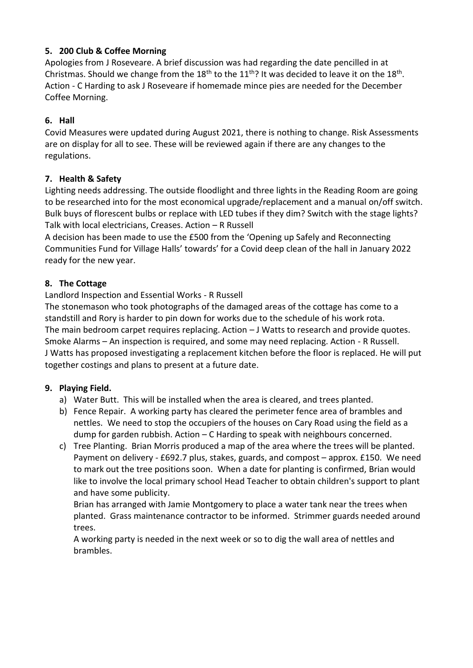# **5. 200 Club & Coffee Morning**

Apologies from J Roseveare. A brief discussion was had regarding the date pencilled in at Christmas. Should we change from the  $18^{th}$  to the  $11^{th}$ ? It was decided to leave it on the  $18^{th}$ . Action - C Harding to ask J Roseveare if homemade mince pies are needed for the December Coffee Morning.

# **6. Hall**

Covid Measures were updated during August 2021, there is nothing to change. Risk Assessments are on display for all to see. These will be reviewed again if there are any changes to the regulations.

# **7. Health & Safety**

Lighting needs addressing. The outside floodlight and three lights in the Reading Room are going to be researched into for the most economical upgrade/replacement and a manual on/off switch. Bulk buys of florescent bulbs or replace with LED tubes if they dim? Switch with the stage lights? Talk with local electricians, Creases. Action – R Russell

A decision has been made to use the £500 from the 'Opening up Safely and Reconnecting Communities Fund for Village Halls' towards' for a Covid deep clean of the hall in January 2022 ready for the new year.

# **8. The Cottage**

# Landlord Inspection and Essential Works - R Russell

The stonemason who took photographs of the damaged areas of the cottage has come to a standstill and Rory is harder to pin down for works due to the schedule of his work rota. The main bedroom carpet requires replacing. Action – J Watts to research and provide quotes. Smoke Alarms – An inspection is required, and some may need replacing. Action - R Russell. J Watts has proposed investigating a replacement kitchen before the floor is replaced. He will put together costings and plans to present at a future date.

#### **9. Playing Field.**

- a) Water Butt. This will be installed when the area is cleared, and trees planted.
- b) Fence Repair. A working party has cleared the perimeter fence area of brambles and nettles. We need to stop the occupiers of the houses on Cary Road using the field as a dump for garden rubbish. Action – C Harding to speak with neighbours concerned.
- c) Tree Planting. Brian Morris produced a map of the area where the trees will be planted. Payment on delivery - £692.7 plus, stakes, guards, and compost – approx. £150. We need to mark out the tree positions soon. When a date for planting is confirmed, Brian would like to involve the local primary school Head Teacher to obtain children's support to plant and have some publicity.

Brian has arranged with Jamie Montgomery to place a water tank near the trees when planted. Grass maintenance contractor to be informed. Strimmer guards needed around trees.

A working party is needed in the next week or so to dig the wall area of nettles and brambles.